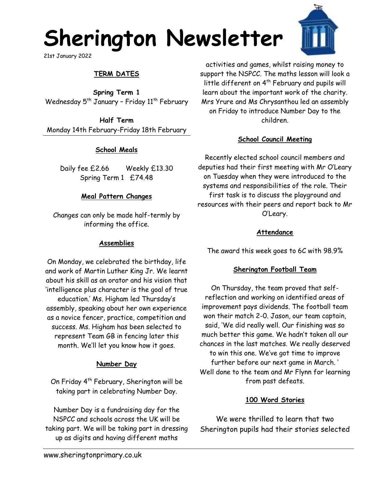# **Sherington Newsletter**

21st January 2022

# **TERM DATES**

**Spring Term 1** Wednesday  $5<sup>th</sup>$  January - Friday  $11<sup>th</sup>$  February

**Half Term** Monday 14th February-Friday 18th February

## **School Meals**

Daily fee £2.66 Weekly £13.30 Spring Term 1 £74.48

#### **Meal Pattern Changes**

Changes can only be made half-termly by informing the office.

## **Assemblies**

On Monday, we celebrated the birthday, life and work of Martin Luther King Jr. We learnt about his skill as an orator and his vision that 'intelligence plus character is the goal of true education.' Ms. Higham led Thursday's assembly, speaking about her own experience as a novice fencer, practice, competition and success. Ms. Higham has been selected to represent Team GB in fencing later this month. We'll let you know how it goes.

## **Number Day**

On Friday  $4^{th}$  February, Sherington will be taking part in celebrating Number Day.

Number Day is a fundraising day for the NSPCC and schools across the UK will be taking part. We will be taking part in dressing up as digits and having different maths

activities and games, whilst raising money to support the NSPCC. The maths lesson will look a little different on 4<sup>th</sup> February and pupils will learn about the important work of the charity. Mrs Yrure and Ms Chrysanthou led an assembly on Friday to introduce Number Day to the children.

## **School Council Meeting**

Recently elected school council members and deputies had their first meeting with Mr O'Leary on Tuesday when they were introduced to the systems and responsibilities of the role. Their first task is to discuss the playground and resources with their peers and report back to Mr O'Leary.

## **Attendance**

The award this week goes to 6C with 98.9%

# **Sherington Football Team**

On Thursday, the team proved that selfreflection and working on identified areas of improvement pays dividends. The football team won their match 2-0. Jason, our team captain, said, 'We did really well. Our finishing was so much better this game. We hadn't taken all our chances in the last matches. We really deserved to win this one. We've got time to improve further before our next game in March. ' Well done to the team and Mr Flynn for learning from past defeats.

# **100 Word Stories**

We were thrilled to learn that two Sherington pupils had their stories selected

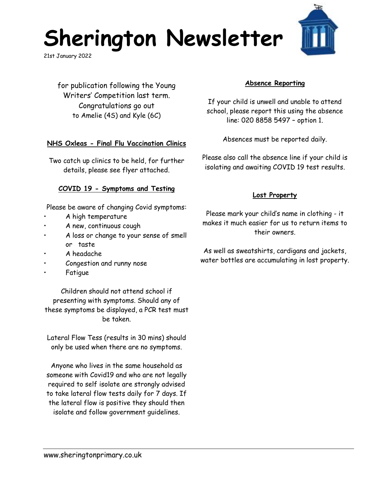# **Sherington Newsletter**

21st January 2022

for publication following the Young Writers' Competition last term. Congratulations go out to Amelie (4S) and Kyle (6C)

#### **NHS Oxleas - Final Flu Vaccination Clinics**

Two catch up clinics to be held, for further details, please see flyer attached.

#### **COVID 19 - Symptoms and Testing**

Please be aware of changing Covid symptoms:

- A high temperature
- A new, continuous cough
- A loss or change to your sense of smell or taste
- A headache
- Congestion and runny nose
- **Fatique**

Children should not attend school if presenting with symptoms. Should any of these symptoms be displayed, a PCR test must be taken.

Lateral Flow Tess (results in 30 mins) should only be used when there are no symptoms.

Anyone who lives in the same household as someone with Covid19 and who are not legally required to self isolate are strongly advised to take lateral flow tests daily for 7 days. If the lateral flow is positive they should then isolate and follow government guidelines.

### **Absence Reporting**

If your child is unwell and unable to attend school, please report this using the absence line: 020 8858 5497 – option 1.

Absences must be reported daily.

Please also call the absence line if your child is isolating and awaiting COVID 19 test results.

#### **Lost Property**

Please mark your child's name in clothing - it makes it much easier for us to return items to their owners.

As well as sweatshirts, cardigans and jackets, water bottles are accumulating in lost property.